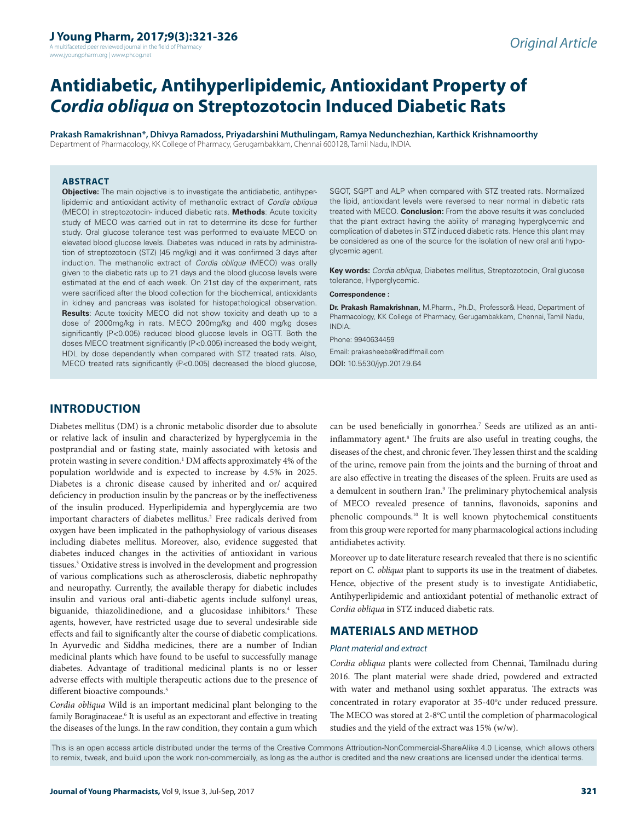A multifaceted peer reviewed journal in the field of Pharm www.jyoungpharm.org | www.phcog.net

# **Antidiabetic, Antihyperlipidemic, Antioxidant Property of**  *Cordia obliqua* **on Streptozotocin Induced Diabetic Rats**

**Prakash Ramakrishnan\*, Dhivya Ramadoss, Priyadarshini Muthulingam, Ramya Nedunchezhian, Karthick Krishnamoorthy** Department of Pharmacology, KK College of Pharmacy, Gerugambakkam, Chennai 600128, Tamil Nadu, INDIA.

#### **ABSTRACT**

**Objective:** The main objective is to investigate the antidiabetic, antihyperlipidemic and antioxidant activity of methanolic extract of *Cordia obliqua* (MECO) in streptozotocin- induced diabetic rats. **Methods**: Acute toxicity study of MECO was carried out in rat to determine its dose for further study. Oral glucose tolerance test was performed to evaluate MECO on elevated blood glucose levels. Diabetes was induced in rats by administration of streptozotocin (STZ) (45 mg/kg) and it was confirmed 3 days after induction. The methanolic extract of *Cordia obliqua* (MECO) was orally given to the diabetic rats up to 21 days and the blood glucose levels were estimated at the end of each week. On 21st day of the experiment, rats were sacrificed after the blood collection for the biochemical, antioxidants in kidney and pancreas was isolated for histopathological observation. **Results**: Acute toxicity MECO did not show toxicity and death up to a dose of 2000mg/kg in rats. MECO 200mg/kg and 400 mg/kg doses significantly (P<0.005) reduced blood glucose levels in OGTT. Both the doses MECO treatment significantly (P<0.005) increased the body weight, HDL by dose dependently when compared with STZ treated rats. Also, MECO treated rats significantly (P<0.005) decreased the blood glucose,

SGOT, SGPT and ALP when compared with STZ treated rats. Normalized the lipid, antioxidant levels were reversed to near normal in diabetic rats treated with MECO. **Conclusion:** From the above results it was concluded that the plant extract having the ability of managing hyperglycemic and complication of diabetes in STZ induced diabetic rats. Hence this plant may be considered as one of the source for the isolation of new oral anti hypoglycemic agent.

**Key words:** *Cordia obliqua,* Diabetes mellitus, Streptozotocin, Oral glucose tolerance, Hyperglycemic*.*

#### **Correspondence :**

**Dr. Prakash Ramakrishnan,** M.Pharm., Ph.D., Professor& Head, Department of Pharmacology, KK College of Pharmacy, Gerugambakkam, Chennai, Tamil Nadu, INDIA.

Phone: 9940634459 Email: prakasheeba@rediffmail.com DOI: 10.5530/jyp.2017.9.64

# **INTRODUCTION**

Diabetes mellitus (DM) is a chronic metabolic disorder due to absolute or relative lack of insulin and characterized by hyperglycemia in the postprandial and or fasting state, mainly associated with ketosis and protein wasting in severe condition.<sup>1</sup> DM affects approximately 4% of the population worldwide and is expected to increase by 4.5% in 2025. Diabetes is a chronic disease caused by inherited and or/ acquired deficiency in production insulin by the pancreas or by the ineffectiveness of the insulin produced. Hyperlipidemia and hyperglycemia are two important characters of diabetes mellitus.<sup>2</sup> Free radicals derived from oxygen have been implicated in the pathophysiology of various diseases including diabetes mellitus. Moreover, also, evidence suggested that diabetes induced changes in the activities of antioxidant in various tissues.3 Oxidative stress is involved in the development and progression of various complications such as atherosclerosis, diabetic nephropathy and neuropathy. Currently, the available therapy for diabetic includes insulin and various oral anti-diabetic agents include sulfonyl ureas, biguanide, thiazolidinedione, and α glucosidase inhibitors.<sup>4</sup> These agents, however, have restricted usage due to several undesirable side effects and fail to significantly alter the course of diabetic complications. In Ayurvedic and Siddha medicines, there are a number of Indian medicinal plants which have found to be useful to successfully manage diabetes. Advantage of traditional medicinal plants is no or lesser adverse effects with multiple therapeutic actions due to the presence of different bioactive compounds.<sup>5</sup>

*Cordia obliqua* Wild is an important medicinal plant belonging to the family Boraginaceae.<sup>6</sup> It is useful as an expectorant and effective in treating the diseases of the lungs. In the raw condition, they contain a gum which

can be used beneficially in gonorrhea.<sup>7</sup> Seeds are utilized as an antiinflammatory agent.8 The fruits are also useful in treating coughs, the diseases of the chest, and chronic fever. They lessen thirst and the scalding of the urine, remove pain from the joints and the burning of throat and are also effective in treating the diseases of the spleen. Fruits are used as a demulcent in southern Iran.<sup>9</sup> The preliminary phytochemical analysis of MECO revealed presence of tannins, flavonoids, saponins and phenolic compounds.10 It is well known phytochemical constituents from this group were reported for many pharmacological actions including antidiabetes activity.

Moreover up to date literature research revealed that there is no scientific report on *C. obliqua* plant to supports its use in the treatment of diabetes. Hence, objective of the present study is to investigate Antidiabetic, Antihyperlipidemic and antioxidant potential of methanolic extract of *Cordia obliqua* in STZ induced diabetic rats.

# **MATERIALS AND METHOD**

#### *Plant material and extract*

*Cordia obliqua* plants were collected from Chennai, Tamilnadu during 2016. The plant material were shade dried, powdered and extracted with water and methanol using soxhlet apparatus. The extracts was concentrated in rotary evaporator at 35-40°c under reduced pressure. The MECO was stored at 2-8°C until the completion of pharmacological studies and the yield of the extract was 15% (w/w).

This is an open access article distributed under the terms of the Creative Commons Attribution-NonCommercial-ShareAlike 4.0 License, which allows others to remix, tweak, and build upon the work non-commercially, as long as the author is credited and the new creations are licensed under the identical terms.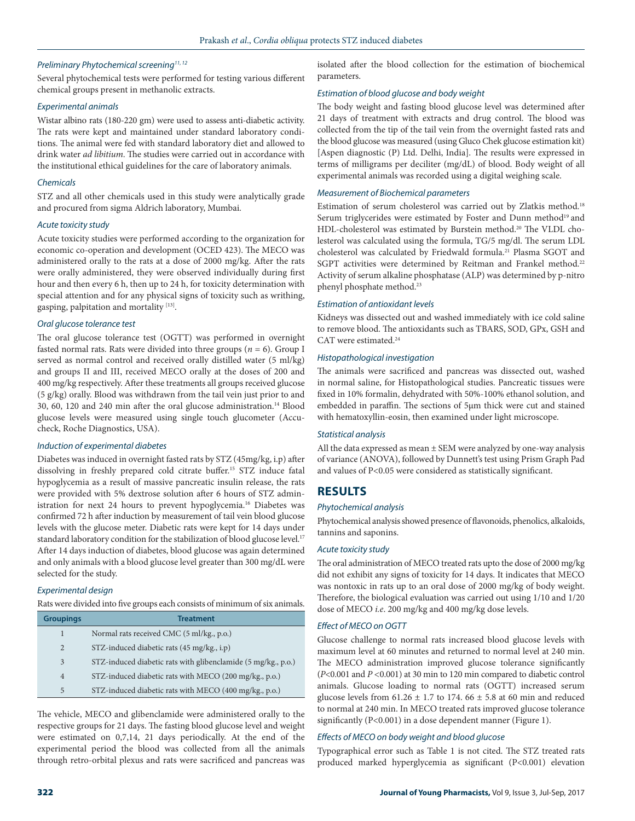## *Preliminary Phytochemical screening11, 12*

Several phytochemical tests were performed for testing various different chemical groups present in methanolic extracts.

#### *Experimental animals*

Wistar albino rats (180-220 gm) were used to assess anti-diabetic activity. The rats were kept and maintained under standard laboratory conditions. The animal were fed with standard laboratory diet and allowed to drink water *ad libitium*. The studies were carried out in accordance with the institutional ethical guidelines for the care of laboratory animals.

#### *Chemicals*

STZ and all other chemicals used in this study were analytically grade and procured from sigma Aldrich laboratory, Mumbai.

#### *Acute toxicity study*

Acute toxicity studies were performed according to the organization for economic co-operation and development (OCED 423). The MECO was administered orally to the rats at a dose of 2000 mg/kg. After the rats were orally administered, they were observed individually during first hour and then every 6 h, then up to 24 h, for toxicity determination with special attention and for any physical signs of toxicity such as writhing, gasping, palpitation and mortality [13].

#### *Oral glucose tolerance test*

The oral glucose tolerance test (OGTT) was performed in overnight fasted normal rats. Rats were divided into three groups ( $n = 6$ ). Group I served as normal control and received orally distilled water (5 ml/kg) and groups II and III, received MECO orally at the doses of 200 and 400 mg/kg respectively. After these treatments all groups received glucose (5 g/kg) orally. Blood was withdrawn from the tail vein just prior to and 30, 60, 120 and 240 min after the oral glucose administration.14 Blood glucose levels were measured using single touch glucometer (Accucheck, Roche Diagnostics, USA).

## *Induction of experimental diabetes*

Diabetes was induced in overnight fasted rats by STZ (45mg/kg, i.p) after dissolving in freshly prepared cold citrate buffer.15 STZ induce fatal hypoglycemia as a result of massive pancreatic insulin release, the rats were provided with 5% dextrose solution after 6 hours of STZ administration for next 24 hours to prevent hypoglycemia.16 Diabetes was confirmed 72 h after induction by measurement of tail vein blood glucose levels with the glucose meter. Diabetic rats were kept for 14 days under standard laboratory condition for the stabilization of blood glucose level.<sup>17</sup> After 14 days induction of diabetes, blood glucose was again determined and only animals with a blood glucose level greater than 300 mg/dL were selected for the study.

## *Experimental design*

Rats were divided into five groups each consists of minimum of six animals.

| <b>Groupings</b> | <b>Treatment</b>                                              |
|------------------|---------------------------------------------------------------|
| 1                | Normal rats received CMC (5 ml/kg., p.o.)                     |
| $\overline{2}$   | STZ-induced diabetic rats (45 mg/kg., i.p)                    |
| 3                | STZ-induced diabetic rats with glibenclamide (5 mg/kg., p.o.) |
| 4                | STZ-induced diabetic rats with MECO (200 mg/kg., p.o.)        |
| 5                | STZ-induced diabetic rats with MECO (400 mg/kg., p.o.)        |

The vehicle, MECO and glibenclamide were administered orally to the respective groups for 21 days. The fasting blood glucose level and weight were estimated on 0,7,14, 21 days periodically. At the end of the experimental period the blood was collected from all the animals through retro-orbital plexus and rats were sacrificed and pancreas was

isolated after the blood collection for the estimation of biochemical parameters.

# *Estimation of blood glucose and body weight*

The body weight and fasting blood glucose level was determined after 21 days of treatment with extracts and drug control. The blood was collected from the tip of the tail vein from the overnight fasted rats and the blood glucose was measured (using Gluco Chek glucose estimation kit) [Aspen diagnostic (P) Ltd. Delhi, India]. The results were expressed in terms of milligrams per deciliter (mg/dL) of blood. Body weight of all experimental animals was recorded using a digital weighing scale.

# *Measurement of Biochemical parameters*

Estimation of serum cholesterol was carried out by Zlatkis method.18 Serum triglycerides were estimated by Foster and Dunn method<sup>19</sup> and HDL-cholesterol was estimated by Burstein method.20 The VLDL cholesterol was calculated using the formula, TG/5 mg/dl. The serum LDL cholesterol was calculated by Friedwald formula.21 Plasma SGOT and SGPT activities were determined by Reitman and Frankel method.<sup>22</sup> Activity of serum alkaline phosphatase (ALP) was determined by p-nitro phenyl phosphate method.<sup>23</sup>

#### *Estimation of antioxidant levels*

Kidneys was dissected out and washed immediately with ice cold saline to remove blood. The antioxidants such as TBARS, SOD, GPx, GSH and CAT were estimated.<sup>24</sup>

## *Histopathological investigation*

The animals were sacrificed and pancreas was dissected out, washed in normal saline, for Histopathological studies. Pancreatic tissues were fixed in 10% formalin, dehydrated with 50%-100% ethanol solution, and embedded in paraffin. The sections of 5µm thick were cut and stained with hematoxyllin-eosin, then examined under light microscope.

## *Statistical analysis*

All the data expressed as mean  $\pm$  SEM were analyzed by one-way analysis of variance (ANOVA), followed by Dunnett's test using Prism Graph Pad and values of P<0.05 were considered as statistically significant.

# **RESULTS**

## *Phytochemical analysis*

Phytochemical analysis showed presence of flavonoids, phenolics, alkaloids, tannins and saponins.

## *Acute toxicity study*

The oral administration of MECO treated rats upto the dose of 2000 mg/kg did not exhibit any signs of toxicity for 14 days. It indicates that MECO was nontoxic in rats up to an oral dose of 2000 mg/kg of body weight. Therefore, the biological evaluation was carried out using 1/10 and 1/20 dose of MECO *i.e*. 200 mg/kg and 400 mg/kg dose levels.

## *Effect of MECO on OGTT*

Glucose challenge to normal rats increased blood glucose levels with maximum level at 60 minutes and returned to normal level at 240 min. The MECO administration improved glucose tolerance significantly (*P*<0.001 and *P <*0.001) at 30 min to 120 min compared to diabetic control animals. Glucose loading to normal rats (OGTT) increased serum glucose levels from  $61.26 \pm 1.7$  to 174.  $66 \pm 5.8$  at 60 min and reduced to normal at 240 min. In MECO treated rats improved glucose tolerance significantly (P<0.001) in a dose dependent manner (Figure 1).

## *Effects of MECO on body weight and blood glucose*

Typographical error such as Table 1 is not cited. The STZ treated rats produced marked hyperglycemia as significant (P<0.001) elevation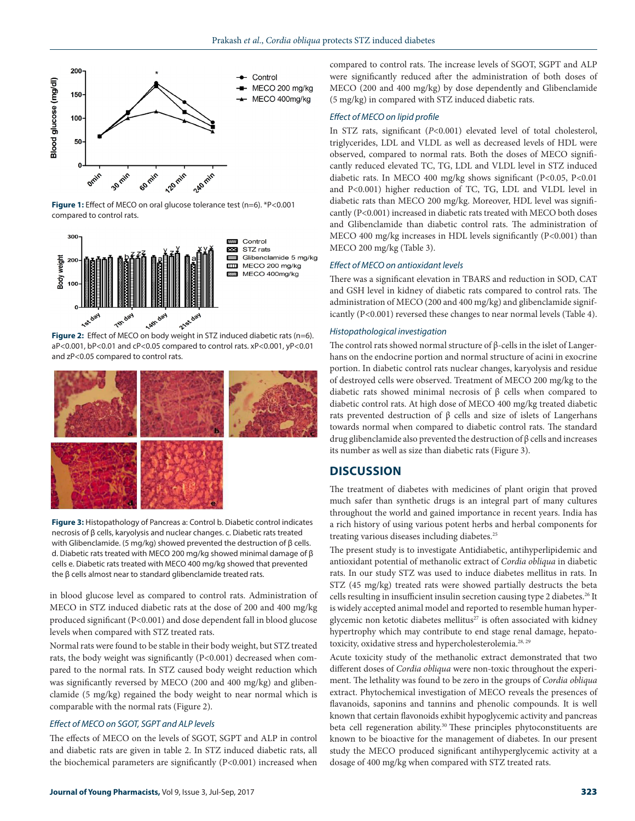

Figure 1: Effect of MECO on oral glucose tolerance test (n=6). \*P<0.001 compared to control rats.



Control STZ rats Glibenclamide 5 mg/kg MECO 200 mg/kg MECO 400mg/kg

aP<0.001, bP<0.01 and cP<0.05 compared to control rats. xP<0.001, yP<0.01 and zP<0.05 compared to control rats.



**Figure 3:** Histopathology of Pancreas a: Control b. Diabetic control indicates necrosis of β cells, karyolysis and nuclear changes. c. Diabetic rats treated with Glibenclamide. (5 mg/kg) showed prevented the destruction of β cells. d. Diabetic rats treated with MECO 200 mg/kg showed minimal damage of β cells e. Diabetic rats treated with MECO 400 mg/kg showed that prevented the β cells almost near to standard glibenclamide treated rats.

in blood glucose level as compared to control rats. Administration of MECO in STZ induced diabetic rats at the dose of 200 and 400 mg/kg produced significant (P<0.001) and dose dependent fall in blood glucose levels when compared with STZ treated rats.

Normal rats were found to be stable in their body weight, but STZ treated rats, the body weight was significantly (P<0.001) decreased when compared to the normal rats. In STZ caused body weight reduction which was significantly reversed by MECO (200 and 400 mg/kg) and glibenclamide (5 mg/kg) regained the body weight to near normal which is comparable with the normal rats (Figure 2).

#### *Effect of MECO on SGOT, SGPT and ALP levels*

The effects of MECO on the levels of SGOT, SGPT and ALP in control and diabetic rats are given in table 2. In STZ induced diabetic rats, all the biochemical parameters are significantly (P<0.001) increased when compared to control rats. The increase levels of SGOT, SGPT and ALP were significantly reduced after the administration of both doses of MECO (200 and 400 mg/kg) by dose dependently and Glibenclamide (5 mg/kg) in compared with STZ induced diabetic rats.

#### *Effect of MECO on lipid profile*

In STZ rats, significant (*P*<0.001) elevated level of total cholesterol, triglycerides, LDL and VLDL as well as decreased levels of HDL were observed, compared to normal rats. Both the doses of MECO significantly reduced elevated TC, TG, LDL and VLDL level in STZ induced diabetic rats. In MECO 400 mg/kg shows significant (P<0.05, P<0.01 and P<0.001) higher reduction of TC, TG, LDL and VLDL level in diabetic rats than MECO 200 mg/kg. Moreover, HDL level was significantly (P<0.001) increased in diabetic rats treated with MECO both doses and Glibenclamide than diabetic control rats. The administration of MECO 400 mg/kg increases in HDL levels significantly (P<0.001) than MECO 200 mg/kg (Table 3).

#### *Effect of MECO on antioxidant levels*

There was a significant elevation in TBARS and reduction in SOD, CAT and GSH level in kidney of diabetic rats compared to control rats. The administration of MECO (200 and 400 mg/kg) and glibenclamide significantly (P<0.001) reversed these changes to near normal levels (Table 4).

#### *Histopathological investigation*

The control rats showed normal structure of β-cells in the islet of Langerhans on the endocrine portion and normal structure of acini in exocrine portion. In diabetic control rats nuclear changes, karyolysis and residue of destroyed cells were observed. Treatment of MECO 200 mg/kg to the diabetic rats showed minimal necrosis of β cells when compared to diabetic control rats. At high dose of MECO 400 mg/kg treated diabetic rats prevented destruction of β cells and size of islets of Langerhans towards normal when compared to diabetic control rats. The standard drug glibenclamide also prevented the destruction of β cells and increases its number as well as size than diabetic rats (Figure 3).

## **DISCUSSION**

The treatment of diabetes with medicines of plant origin that proved much safer than synthetic drugs is an integral part of many cultures throughout the world and gained importance in recent years. India has a rich history of using various potent herbs and herbal components for treating various diseases including diabetes.<sup>25</sup>

The present study is to investigate Antidiabetic, antihyperlipidemic and antioxidant potential of methanolic extract of *Cordia obliqua* in diabetic rats. In our study STZ was used to induce diabetes mellitus in rats. In STZ (45 mg/kg) treated rats were showed partially destructs the beta cells resulting in insufficient insulin secretion causing type 2 diabetes.<sup>26</sup> It is widely accepted animal model and reported to resemble human hyperglycemic non ketotic diabetes mellitus<sup>27</sup> is often associated with kidney hypertrophy which may contribute to end stage renal damage, hepatotoxicity, oxidative stress and hypercholesterolemia.<sup>28, 29</sup>

Acute toxicity study of the methanolic extract demonstrated that two different doses of *Cordia obliqua* were non-toxic throughout the experiment. The lethality was found to be zero in the groups of *Cordia obliqua*  extract. Phytochemical investigation of MECO reveals the presences of flavanoids, saponins and tannins and phenolic compounds. It is well known that certain flavonoids exhibit hypoglycemic activity and pancreas beta cell regeneration ability.<sup>30</sup> These principles phytoconstituents are known to be bioactive for the management of diabetes. In our present study the MECO produced significant antihyperglycemic activity at a dosage of 400 mg/kg when compared with STZ treated rats.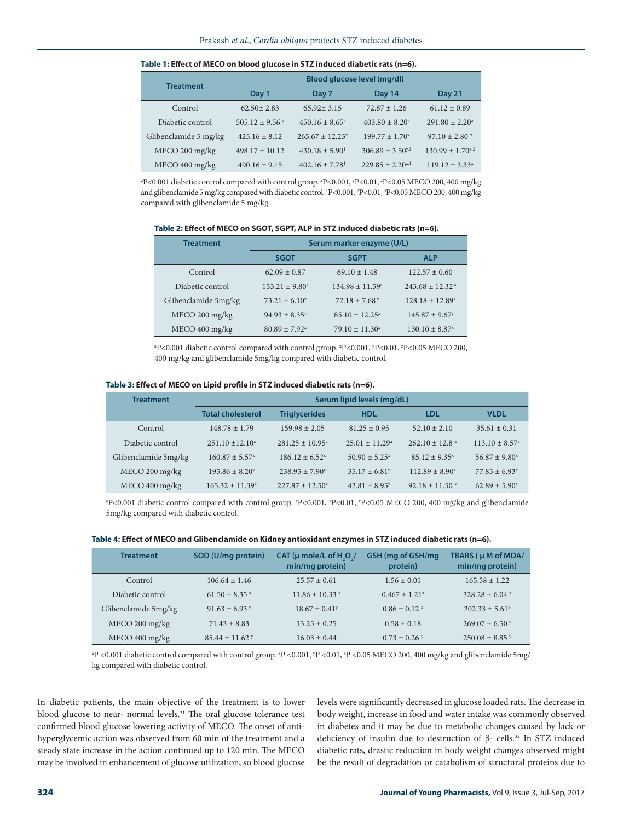| <b>Treatment</b>      | Blood glucose level (mg/dl)  |                                |                                  |                           |  |
|-----------------------|------------------------------|--------------------------------|----------------------------------|---------------------------|--|
|                       | Day 1                        | Day 7                          | Day 14                           | <b>Day 21</b>             |  |
| Control               | $62.50 + 2.83$               | $65.92 \pm 3.15$               | $72.87 + 1.26$                   | $61.12 \pm 0.89$          |  |
| Diabetic control      | $505.12 + 9.56$ <sup>a</sup> | $450.16 \pm 8.65^{\circ}$      | $403.80 + 8.20a$                 | $291.80 \pm 2.20^{\circ}$ |  |
| Glibenclamide 5 mg/kg | $425.16 \pm 8.12$            | $265.67 + 12.23^{x}$           | $199.77 + 1.70^x$                | $97.10 + 2.80$ x          |  |
| MECO 200 mg/kg        | $498.17 + 10.12$             | $430.18 \pm 5.90^1$            | $306.89 \pm 3.50$ <sup>y,1</sup> | $130.99 \pm 1.70^{x,2}$   |  |
| MECO 400 mg/kg        | $490.16 \pm 9.15$            | $402.16 \pm 7.78$ <sup>1</sup> | $229.85 + 2.20^{x,1}$            | $119.12 + 3.33^{x}$       |  |

#### **Table 1: Effect of MECO on blood glucose in STZ induced diabetic rats (n=6).**

P<0.001 diabetic control compared with control group. \*P<0.001, \*P<0.01, \*P<0.05 MECO 200, 400 mg/kg and glibenclamide 5 mg/kg compared with diabetic control. 1 P<0.001, 2 P<0.01, 3 P<0.05 MECO 200, 400 mg/kg compared with glibenclamide 5 mg/kg.

| Table 2: Effect of MECO on SGOT, SGPT, ALP in STZ induced diabetic rats (n=6). |  |  |
|--------------------------------------------------------------------------------|--|--|
|--------------------------------------------------------------------------------|--|--|

| <b>Treatment</b>     | Serum marker enzyme (U/L)   |                             |                                |  |
|----------------------|-----------------------------|-----------------------------|--------------------------------|--|
|                      | <b>SGOT</b>                 | <b>SGPT</b>                 | <b>ALP</b>                     |  |
| Control              | $62.09 + 0.87$              | $69.10 + 1.48$              | $122.57 + 0.60$                |  |
| Diabetic control     | $153.21 + 9.80^{\circ}$     | $134.98 + 11.59^{\circ}$    | $243.68 + 12.32$ <sup>a</sup>  |  |
| Glibenclamide 5mg/kg | $73.21 \pm 6.10^x$          | $72.18 + 7.68$ <sup>x</sup> | $128.18 + 12.89^{x}$           |  |
| MECO 200 mg/kg       | $94.93 + 8.35^y$            | $85.10 \pm 12.25^x$         | $145.87 \pm 9.67$ <sup>y</sup> |  |
| MECO 400 mg/kg       | $80.89 + 7.92$ <sup>x</sup> | $79.10 \pm 11.30^x$         | $130.10 \pm 8.87$ <sup>x</sup> |  |

<sup>a</sup>P<0.001 diabetic control compared with control group. <sup>x</sup>P<0.001, <sup>y</sup>P<0.01, <sup>z</sup>P<0.05 MECO 200, 400 mg/kg and glibenclamide 5mg/kg compared with diabetic control.

#### **Table 3: Effect of MECO on Lipid profile in STZ induced diabetic rats (n=6).**

| <b>Treatment</b>     | Serum lipid levels (mg/dL)   |                          |                             |                                |                                |
|----------------------|------------------------------|--------------------------|-----------------------------|--------------------------------|--------------------------------|
|                      | <b>Total cholesterol</b>     | <b>Triglycerides</b>     | <b>HDL</b>                  | LDL                            | <b>VLDL</b>                    |
| Control              | $148.78 \pm 1.79$            | $159.98 + 2.05$          | $81.25 + 0.95$              | $52.10 \pm 2.10$               | $35.61 \pm 0.31$               |
| Diabetic control     | $251.10 + 12.10^a$           | $281.25 + 10.95^{\circ}$ | $25.01 + 11.29^{\circ}$     | $262.10 \pm 12.8$ <sup>a</sup> | $113.10 \pm 8.57$ <sup>a</sup> |
| Glibenclamide 5mg/kg | $160.87 + 5.57^x$            | $186.12 + 6.52^{x}$      | $50.90 + 5.25^{x}$          | $85.12 + 9.35^{x}$             | $56.87 + 9.80^x$               |
| $MECO 200$ mg/kg     | $195.86 + 8.20$ <sup>y</sup> | $238.95 + 7.90^2$        | $35.17 + 6.81$ <sup>y</sup> | $112.89 + 8.90^x$              | $77.85 + 6.93$                 |
| MECO 400 mg/kg       | $165.32 + 11.39^{x}$         | $227.87 + 12.50^2$       | $42.81 + 8.95$              | $92.18 \pm 11.50$ x            | $62.89 + 5.90^x$               |

<sup>a</sup>P<0.001 diabetic control compared with control group. <sup>x</sup>P<0.001, <sup>y</sup>P<0.01, <sup>2</sup>P<0.05 MECO 200, 400 mg/kg and glibenclamide 5mg/kg compared with diabetic control.

#### **Table 4: Effect of MECO and Glibenclamide on Kidney antioxidant enzymes in STZ induced diabetic rats (n=6).**

| <b>Treatment</b>     | SOD (U/mg protein)           | CAT ( $\mu$ mole/L of H <sub>2</sub> O <sub>2</sub> /<br>min/mg protein) | GSH (mg of GSH/mg<br>protein) | TBARS (µ M of MDA/<br>min/mg protein) |
|----------------------|------------------------------|--------------------------------------------------------------------------|-------------------------------|---------------------------------------|
| Control              | $106.64 \pm 1.46$            | $25.57 + 0.61$                                                           | $1.56 \pm 0.01$               | $165.58 + 1.22$                       |
| Diabetic control     | $61.50 + 8.35$ <sup>a</sup>  | $11.86 \pm 10.33$ <sup>a</sup>                                           | $0.467 \pm 1.21$ <sup>a</sup> | $328.28 + 6.04$ <sup>a</sup>          |
| Glibenclamide 5mg/kg | $91.63 + 6.93$               | $18.67 \pm 0.41$ <sup>y</sup>                                            | $0.86 \pm 0.12$ x             | $202.33 + 5.61^x$                     |
| $MECO 200$ mg/kg     | $71.43 + 8.83$               | $13.25 \pm 0.25$                                                         | $0.58 \pm 0.18$               | $269.07 + 6.50$ y                     |
| $MECO 400$ mg/kg     | $85.44 + 11.62$ <sup>y</sup> | $16.03 \pm 0.44$                                                         | $0.73 \pm 0.26$ Y             | $250.08 + 8.85$ y                     |

<sup>a</sup>P <0.001 diabetic control compared with control group. <sup>x</sup>P <0.001, <sup>*x*</sup>P <0.01, <sup>2</sup>P <0.05 MECO 200, 400 mg/kg and glibenclamide 5mg/ kg compared with diabetic control.

In diabetic patients, the main objective of the treatment is to lower blood glucose to near- normal levels.<sup>31</sup> The oral glucose tolerance test confirmed blood glucose lowering activity of MECO. The onset of antihyperglycemic action was observed from 60 min of the treatment and a steady state increase in the action continued up to 120 min. The MECO may be involved in enhancement of glucose utilization, so blood glucose

levels were significantly decreased in glucose loaded rats. The decrease in body weight, increase in food and water intake was commonly observed in diabetes and it may be due to metabolic changes caused by lack or deficiency of insulin due to destruction of  $β$ - cells.<sup>32</sup> In STZ induced diabetic rats, drastic reduction in body weight changes observed might be the result of degradation or catabolism of structural proteins due to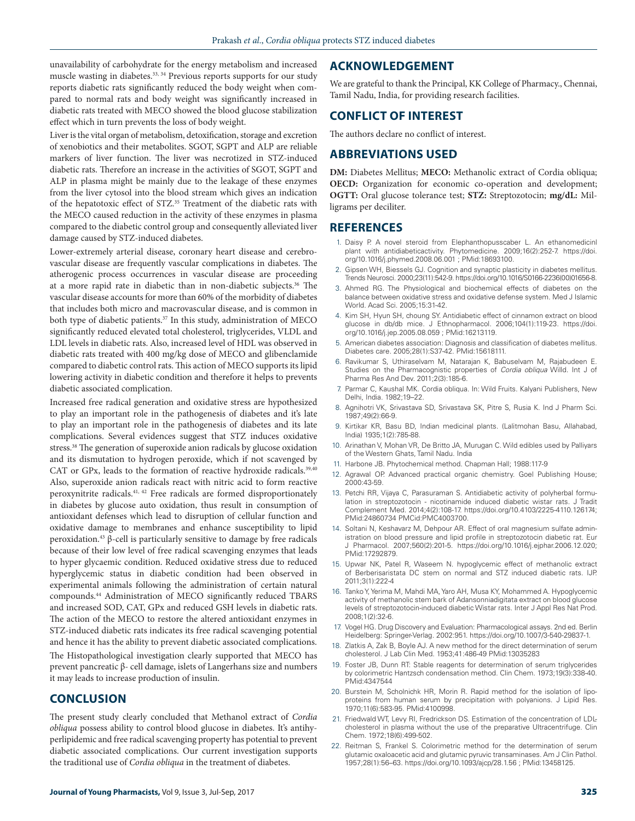unavailability of carbohydrate for the energy metabolism and increased muscle wasting in diabetes.<sup>33, 34</sup> Previous reports supports for our study reports diabetic rats significantly reduced the body weight when compared to normal rats and body weight was significantly increased in diabetic rats treated with MECO showed the blood glucose stabilization effect which in turn prevents the loss of body weight.

Liver is the vital organ of metabolism, detoxification, storage and excretion of xenobiotics and their metabolites. SGOT, SGPT and ALP are reliable markers of liver function. The liver was necrotized in STZ-induced diabetic rats. Therefore an increase in the activities of SGOT, SGPT and ALP in plasma might be mainly due to the leakage of these enzymes from the liver cytosol into the blood stream which gives an indication of the hepatotoxic effect of STZ.<sup>35</sup> Treatment of the diabetic rats with the MECO caused reduction in the activity of these enzymes in plasma compared to the diabetic control group and consequently alleviated liver damage caused by STZ-induced diabetes.

Lower-extremely arterial disease, coronary heart disease and cerebrovascular disease are frequently vascular complications in diabetes. The atherogenic process occurrences in vascular disease are proceeding at a more rapid rate in diabetic than in non-diabetic subjects.36 The vascular disease accounts for more than 60% of the morbidity of diabetes that includes both micro and macrovascular disease, and is common in both type of diabetic patients.<sup>37</sup> In this study, administration of MECO significantly reduced elevated total cholesterol, triglycerides, VLDL and LDL levels in diabetic rats. Also, increased level of HDL was observed in diabetic rats treated with 400 mg/kg dose of MECO and glibenclamide compared to diabetic control rats. This action of MECO supports its lipid lowering activity in diabetic condition and therefore it helps to prevents diabetic associated complication.

Increased free radical generation and oxidative stress are hypothesized to play an important role in the pathogenesis of diabetes and it's late to play an important role in the pathogenesis of diabetes and its late complications. Several evidences suggest that STZ induces oxidative stress.38 The generation of superoxide anion radicals by glucose oxidation and its dismutation to hydrogen peroxide, which if not scavenged by CAT or GPx, leads to the formation of reactive hydroxide radicals.<sup>39,40</sup> Also, superoxide anion radicals react with nitric acid to form reactive peroxynitrite radicals.41, 42 Free radicals are formed disproportionately in diabetes by glucose auto oxidation, thus result in consumption of antioxidant defenses which lead to disruption of cellular function and oxidative damage to membranes and enhance susceptibility to lipid peroxidation.43 β-cell is particularly sensitive to damage by free radicals because of their low level of free radical scavenging enzymes that leads to hyper glycaemic condition. Reduced oxidative stress due to reduced hyperglycemic status in diabetic condition had been observed in experimental animals following the administration of certain natural compounds.44 Administration of MECO significantly reduced TBARS and increased SOD, CAT, GPx and reduced GSH levels in diabetic rats. The action of the MECO to restore the altered antioxidant enzymes in STZ-induced diabetic rats indicates its free radical scavenging potential and hence it has the ability to prevent diabetic associated complications. The Histopathological investigation clearly supported that MECO has prevent pancreatic β- cell damage, islets of Langerhans size and numbers it may leads to increase production of insulin.

## **CONCLUSION**

The present study clearly concluded that Methanol extract of *Cordia obliqua* possess ability to control blood glucose in diabetes. It's antihyperlipidemic and free radical scavenging property has potential to prevent diabetic associated complications. Our current investigation supports the traditional use of *Cordia obliqua* in the treatment of diabetes.

## **ACKNOWLEDGEMENT**

We are grateful to thank the Principal, KK College of Pharmacy., Chennai, Tamil Nadu, India, for providing research facilities.

## **CONFLICT OF INTEREST**

The authors declare no conflict of interest.

## **ABBREVIATIONS USED**

**DM:** Diabetes Mellitus; **MECO:** Methanolic extract of Cordia obliqua; **OECD:** Organization for economic co-operation and development; **OGTT:** Oral glucose tolerance test; **STZ:** Streptozotocin; **mg/dL:** Milligrams per deciliter.

## **REFERENCES**

- 1. Daisy P. A novel steroid from Elephanthopusscaber L. An ethanomedicinl plant with antidiabeticactivity. Phytomedicine. 2009;16(2):252-7. https://doi. org/10.1016/j.phymed.2008.06.001 ; PMid:18693100.
- 2. Gipsen WH, Biessels GJ. Cognition and synaptic plasticity in diabetes mellitus. Trends Neurosci. 2000;23(11):542-9. https://doi.org/10.1016/S0166-2236(00)01656-8.
- 3. Ahmed RG. The Physiological and biochemical effects of diabetes on the balance between oxidative stress and oxidative defense system. Med J Islamic World. Acad Sci. 2005;15:31-42.
- 4. Kim SH, Hyun SH, choung SY. Antidiabetic effect of cinnamon extract on blood glucose in db/db mice. J Ethnopharmacol. 2006;104(1):119-23. https://doi. org/10.1016/j.jep.2005.08.059 ; PMid:16213119.
- 5. American diabetes association: Diagnosis and classification of diabetes mellitus. Diabetes care. 2005;28(1):S37-42. PMid:15618111.
- 6. Ravikumar S, Uthiraselvam M, Natarajan K, Babuselvam M, Rajabudeen E. Studies on the Pharmacognistic properties of *Cordia obliqua* Willd. Int J of Pharma Res And Dev. 2011;2(3):185-6.
- 7. Parmar C, Kaushal MK. Cordia obliqua. In: Wild Fruits. Kalyani Publishers, New Delhi, India. 1982;19–22.
- 8. Agnihotri VK, Srivastava SD, Srivastava SK, Pitre S, Rusia K. Ind J Pharm Sci. 1987;49(2):66-9.
- 9. Kirtikar KR, Basu BD, Indian medicinal plants. (Lalitmohan Basu, Allahabad, India) 1935;1(2):785-88.
- 10. Arinathan V, Mohan VR, De Britto JA, Murugan C. Wild edibles used by Palliyars of the Western Ghats, Tamil Nadu. India
- 11. Harbone JB. Phytochemical method. Chapman Hall; 1988:117-9
- 12. Agrawal OP. Advanced practical organic chemistry. Goel Publishing House; 2000:43-59.
- 13. Petchi RR, Vijaya C, Parasuraman S. Antidiabetic activity of polyherbal formulation in streptozotocin - nicotinamide induced diabetic wistar rats. J Tradit Complement Med. 2014;4(2):108-17. https://doi.org/10.4103/2225-4110.126174; PMid:24860734 PMCid:PMC4003700.
- 14. Soltani N, Keshavarz M, Dehpour AR. Effect of oral magnesium sulfate administration on blood pressure and lipid profile in streptozotocin diabetic rat. Eur J Pharmacol. 2007;560(2):201-5. https://doi.org/10.1016/j.ejphar.2006.12.020; PMid:17292879.
- 15. Upwar NK, Patel R, Waseem N. hypoglycemic effect of methanolic extract of Berberisaristata DC stem on normal and STZ induced diabetic rats. IJP. 2011;3(1):222-4
- 16. Tanko Y, Yerima M, Mahdi MA, Yaro AH, Musa KY, Mohammed A. Hypoglycemic activity of methanolic stem bark of Adansonniadigitata extract on blood glucose levels of streptozotocin-induced diabetic Wistar rats. Inter J Appl Res Nat Prod. 2008;1(2):32-6.
- 17. Vogel HG. Drug Discovery and Evaluation: Pharmacological assays. 2nd ed. Berlin Heidelberg: Springer-Verlag. 2002:951. https://doi.org/10.1007/3-540-29837-1.
- 18. Zlatkis A, Zak B, Boyle AJ. A new method for the direct determination of serum cholesterol. J Lab Clin Med. 1953;41:486-49 PMid:13035283
- 19. Foster JB, Dunn RT: Stable reagents for determination of serum triglycerides by colorimetric Hantzsch condensation method. Clin Chem. 1973;19(3):338-40. PMid:4347544
- 20. Burstein M, Scholnichk HR, Morin R. Rapid method for the isolation of lipoproteins from human serum by precipitation with polyanions. J Lipid Res. 1970;11(6):583-95. PMid:4100998.
- 21. Friedwald WT, Levy RI, Fredrickson DS. Estimation of the concentration of LDLcholesterol in plasma without the use of the preparative Ultracentrifuge. Clin Chem. 1972;18(6):499-502.
- 22. Reitman S, Frankel S. Colorimetric method for the determination of serum glutamic oxaloacetic acid and glutamic pyruvic transaminases. Am J Clin Pathol. 1957;28(1):56–63. https://doi.org/10.1093/ajcp/28.1.56 ; PMid:13458125.